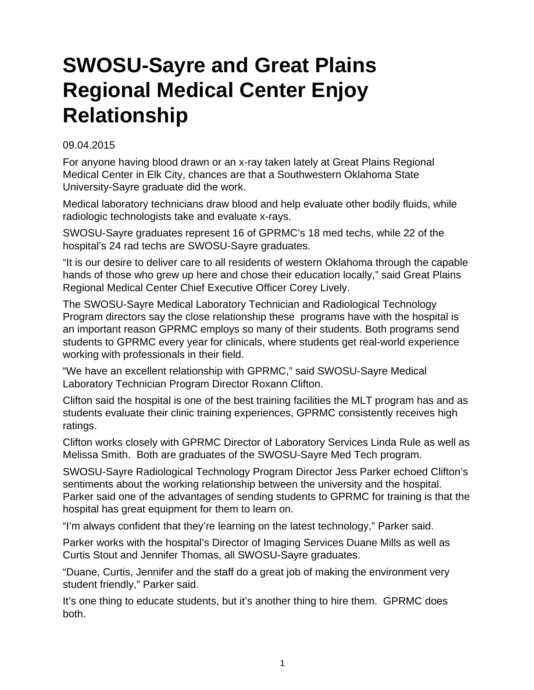## **SWOSU-Sayre and Great Plains Regional Medical Center Enjoy Relationship**

## 09.04.2015

For anyone having blood drawn or an x-ray taken lately at Great Plains Regional Medical Center in Elk City, chances are that a Southwestern Oklahoma State University-Sayre graduate did the work.

Medical laboratory technicians draw blood and help evaluate other bodily fluids, while radiologic technologists take and evaluate x-rays.

SWOSU-Sayre graduates represent 16 of GPRMC's 18 med techs, while 22 of the hospital's 24 rad techs are SWOSU-Sayre graduates.

"It is our desire to deliver care to all residents of western Oklahoma through the capable hands of those who grew up here and chose their education locally," said Great Plains Regional Medical Center Chief Executive Officer Corey Lively.

The SWOSU-Sayre Medical Laboratory Technician and Radiological Technology Program directors say the close relationship these programs have with the hospital is an important reason GPRMC employs so many of their students. Both programs send students to GPRMC every year for clinicals, where students get real-world experience working with professionals in their field.

"We have an excellent relationship with GPRMC," said SWOSU-Sayre Medical Laboratory Technician Program Director Roxann Clifton.

Clifton said the hospital is one of the best training facilities the MLT program has and as students evaluate their clinic training experiences, GPRMC consistently receives high ratings.

Clifton works closely with GPRMC Director of Laboratory Services Linda Rule as well as Melissa Smith. Both are graduates of the SWOSU-Sayre Med Tech program.

SWOSU-Sayre Radiological Technology Program Director Jess Parker echoed Clifton's sentiments about the working relationship between the university and the hospital. Parker said one of the advantages of sending students to GPRMC for training is that the hospital has great equipment for them to learn on.

"I'm always confident that they're learning on the latest technology," Parker said.

Parker works with the hospital's Director of Imaging Services Duane Mills as well as Curtis Stout and Jennifer Thomas, all SWOSU-Sayre graduates.

"Duane, Curtis, Jennifer and the staff do a great job of making the environment very student friendly," Parker said.

It's one thing to educate students, but it's another thing to hire them. GPRMC does both.